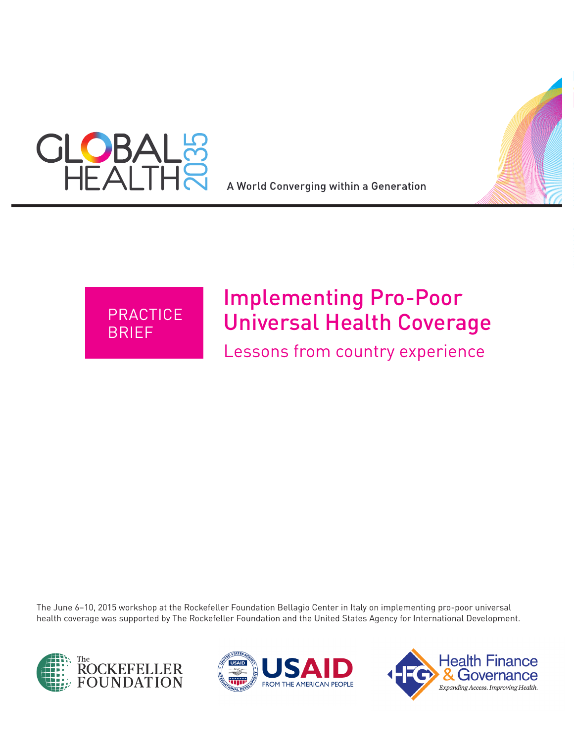

A World Converging within a Generation



# Implementing Pro-Poor Universal Health Coverage

Lessons from country experience

The June 6–10, 2015 workshop at the Rockefeller Foundation Bellagio Center in Italy on implementing pro-poor universal health coverage was supported by The Rockefeller Foundation and the United States Agency for International Development.





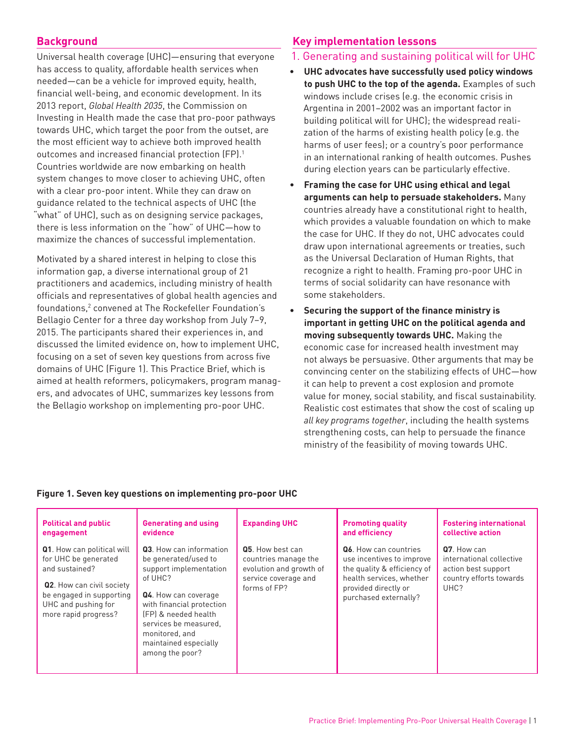# **Background**

Universal health coverage (UHC)—ensuring that everyone has access to quality, affordable health services when needed—can be a vehicle for improved equity, health, financial well-being, and economic development. In its 2013 report, *Global Health 2035*, the Commission on Investing in Health made the case that pro-poor pathways towards UHC, which target the poor from the outset, are the most efficient way to achieve both improved health outcomes and increased financial protection (FP).<sup>1</sup> Countries worldwide are now embarking on health system changes to move closer to achieving UHC, often with a clear pro-poor intent. While they can draw on guidance related to the technical aspects of UHC (the "what" of UHC), such as on designing service packages, there is less information on the "how" of UHC—how to maximize the chances of successful implementation.

Motivated by a shared interest in helping to close this information gap, a diverse international group of 21 practitioners and academics, including ministry of health officials and representatives of global health agencies and foundations,<sup>2</sup> convened at The Rockefeller Foundation's Bellagio Center for a three day workshop from July 7–9, 2015. The participants shared their experiences in, and discussed the limited evidence on, how to implement UHC, focusing on a set of seven key questions from across five domains of UHC (Figure 1). This Practice Brief, which is aimed at health reformers, policymakers, program managers, and advocates of UHC, summarizes key lessons from the Bellagio workshop on implementing pro-poor UHC.

# **Key implementation lessons**

#### 1. Generating and sustaining political will for UHC

- **UHC advocates have successfully used policy windows to push UHC to the top of the agenda.** Examples of such windows include crises (e.g. the economic crisis in Argentina in 2001–2002 was an important factor in building political will for UHC); the widespread realization of the harms of existing health policy (e.g. the harms of user fees); or a country's poor performance in an international ranking of health outcomes. Pushes during election years can be particularly effective.
- **Framing the case for UHC using ethical and legal arguments can help to persuade stakeholders.** Many countries already have a constitutional right to health, which provides a valuable foundation on which to make the case for UHC. If they do not, UHC advocates could draw upon international agreements or treaties, such as the Universal Declaration of Human Rights, that recognize a right to health. Framing pro-poor UHC in terms of social solidarity can have resonance with some stakeholders.
- **Securing the support of the finance ministry is important in getting UHC on the political agenda and moving subsequently towards UHC.** Making the economic case for increased health investment may not always be persuasive. Other arguments that may be convincing center on the stabilizing effects of UHC—how it can help to prevent a cost explosion and promote value for money, social stability, and fiscal sustainability. Realistic cost estimates that show the cost of scaling up *all key programs together*, including the health systems strengthening costs, can help to persuade the finance ministry of the feasibility of moving towards UHC.

#### **Figure 1. Seven key questions on implementing pro-poor UHC**

| <b>Political and public</b>                                                                                                                                                         | <b>Generating and using</b>                                                                                                                                                                                                                              | <b>Expanding UHC</b>                                                                                        | <b>Promoting quality</b>                                                                                                                                              | <b>Fostering international</b>                                                                    |
|-------------------------------------------------------------------------------------------------------------------------------------------------------------------------------------|----------------------------------------------------------------------------------------------------------------------------------------------------------------------------------------------------------------------------------------------------------|-------------------------------------------------------------------------------------------------------------|-----------------------------------------------------------------------------------------------------------------------------------------------------------------------|---------------------------------------------------------------------------------------------------|
| engagement                                                                                                                                                                          | evidence                                                                                                                                                                                                                                                 |                                                                                                             | and efficiency                                                                                                                                                        | collective action                                                                                 |
| Q1. How can political will<br>for UHC be generated<br>and sustained?<br><b>Q2.</b> How can civil society<br>be engaged in supporting<br>UHC and pushing for<br>more rapid progress? | Q3. How can information<br>be generated/used to<br>support implementation<br>of UHC?<br>Q4. How can coverage<br>with financial protection<br>(FP) & needed health<br>services be measured.<br>monitored, and<br>maintained especially<br>among the poor? | Q5. How best can<br>countries manage the<br>evolution and growth of<br>service coverage and<br>forms of FP? | <b>Q6.</b> How can countries<br>use incentives to improve<br>the quality & efficiency of<br>health services, whether<br>provided directly or<br>purchased externally? | Q7. How can<br>international collective<br>action best support<br>country efforts towards<br>UHC? |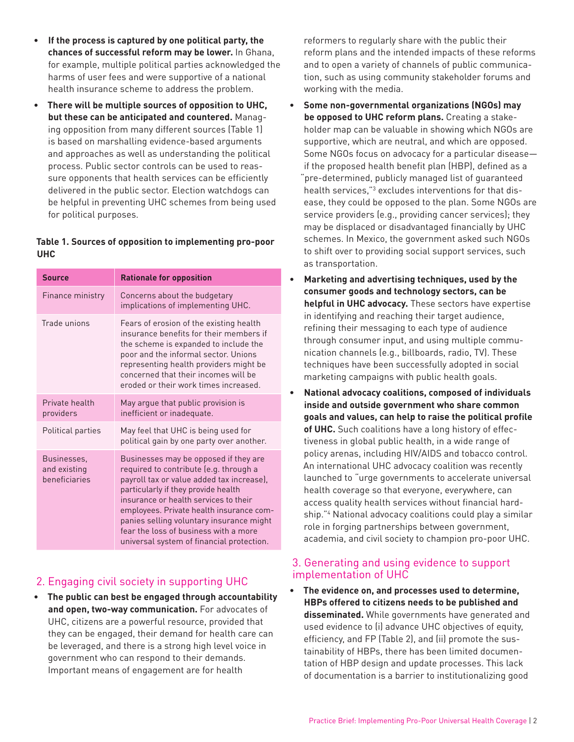- **If the process is captured by one political party, the chances of successful reform may be lower.** In Ghana, for example, multiple political parties acknowledged the harms of user fees and were supportive of a national health insurance scheme to address the problem.
- **There will be multiple sources of opposition to UHC, but these can be anticipated and countered.** Managing opposition from many different sources (Table 1) is based on marshalling evidence-based arguments and approaches as well as understanding the political process. Public sector controls can be used to reassure opponents that health services can be efficiently delivered in the public sector. Election watchdogs can be helpful in preventing UHC schemes from being used for political purposes.

#### **Table 1. Sources of opposition to implementing pro-poor UHC**

| <b>Source</b>                                | <b>Rationale for opposition</b>                                                                                                                                                                                                                                                                                                                                                            |  |  |
|----------------------------------------------|--------------------------------------------------------------------------------------------------------------------------------------------------------------------------------------------------------------------------------------------------------------------------------------------------------------------------------------------------------------------------------------------|--|--|
| Finance ministry                             | Concerns about the budgetary<br>implications of implementing UHC.                                                                                                                                                                                                                                                                                                                          |  |  |
| Trade unions                                 | Fears of erosion of the existing health<br>insurance benefits for their members if<br>the scheme is expanded to include the<br>poor and the informal sector. Unions<br>representing health providers might be<br>concerned that their incomes will be<br>eroded or their work times increased.                                                                                             |  |  |
| Private health<br>providers                  | May argue that public provision is<br>inefficient or inadequate.                                                                                                                                                                                                                                                                                                                           |  |  |
| Political parties                            | May feel that UHC is being used for<br>political gain by one party over another.                                                                                                                                                                                                                                                                                                           |  |  |
| Businesses,<br>and existing<br>beneficiaries | Businesses may be opposed if they are<br>required to contribute (e.g. through a<br>payroll tax or value added tax increase),<br>particularly if they provide health<br>insurance or health services to their<br>employees. Private health insurance com-<br>panies selling voluntary insurance might<br>fear the loss of business with a more<br>universal system of financial protection. |  |  |

# 2. Engaging civil society in supporting UHC

• **The public can best be engaged through accountability and open, two-way communication.** For advocates of UHC, citizens are a powerful resource, provided that they can be engaged, their demand for health care can be leveraged, and there is a strong high level voice in government who can respond to their demands. Important means of engagement are for health

reformers to regularly share with the public their reform plans and the intended impacts of these reforms and to open a variety of channels of public communication, such as using community stakeholder forums and working with the media.

- **Some non-governmental organizations (NGOs) may be opposed to UHC reform plans.** Creating a stakeholder map can be valuable in showing which NGOs are supportive, which are neutral, and which are opposed. Some NGOs focus on advocacy for a particular disease if the proposed health benefit plan (HBP), defined as a "pre-determined, publicly managed list of guaranteed health services,"<sup>3</sup> excludes interventions for that disease, they could be opposed to the plan. Some NGOs are service providers (e.g., providing cancer services); they may be displaced or disadvantaged financially by UHC schemes. In Mexico, the government asked such NGOs to shift over to providing social support services, such as transportation.
- **Marketing and advertising techniques, used by the consumer goods and technology sectors, can be helpful in UHC advocacy.** These sectors have expertise in identifying and reaching their target audience, refining their messaging to each type of audience through consumer input, and using multiple communication channels (e.g., billboards, radio, TV). These techniques have been successfully adopted in social marketing campaigns with public health goals.
- **National advocacy coalitions, composed of individuals inside and outside government who share common goals and values, can help to raise the political profile of UHC.** Such coalitions have a long history of effectiveness in global public health, in a wide range of policy arenas, including HIV/AIDS and tobacco control. An international UHC advocacy coalition was recently launched to "urge governments to accelerate universal health coverage so that everyone, everywhere, can access quality health services without financial hardship."4 National advocacy coalitions could play a similar role in forging partnerships between government, academia, and civil society to champion pro-poor UHC.

## 3. Generating and using evidence to support implementation of UHC

• **The evidence on, and processes used to determine, HBPs offered to citizens needs to be published and disseminated.** While governments have generated and used evidence to (i) advance UHC objectives of equity, efficiency, and FP (Table 2), and (ii) promote the sustainability of HBPs, there has been limited documentation of HBP design and update processes. This lack of documentation is a barrier to institutionalizing good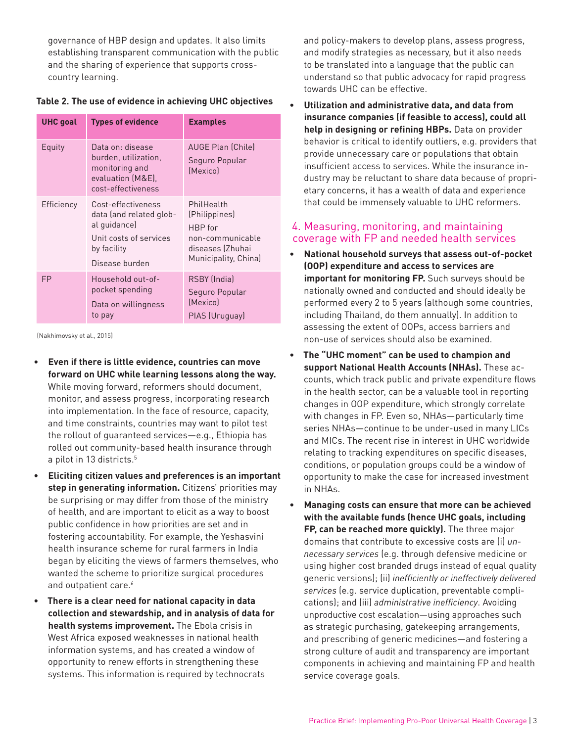governance of HBP design and updates. It also limits establishing transparent communication with the public and the sharing of experience that supports crosscountry learning.

| <b>UHC</b> goal | <b>Types of evidence</b>                                                                                                 | <b>Examples</b>                                                                                        |  |
|-----------------|--------------------------------------------------------------------------------------------------------------------------|--------------------------------------------------------------------------------------------------------|--|
| Equity          | Data on: disease<br>burden, utilization,<br>monitoring and<br>evaluation (M&E),<br>cost-effectiveness                    | <b>AUGE Plan (Chile)</b><br>Seguro Popular<br>(Mexico)                                                 |  |
| Efficiency      | Cost-effectiveness<br>data (and related glob-<br>al guidance)<br>Unit costs of services<br>by facility<br>Disease burden | PhilHealth<br>(Philippines)<br>HBP for<br>non-communicable<br>diseases (Zhuhai<br>Municipality, China) |  |
| FP              | Household out-of-<br>pocket spending<br>Data on willingness<br>to pay                                                    | RSBY (India)<br>Seguro Popular<br>(Mexico)<br>PIAS (Uruguay)                                           |  |

| Table 2. The use of evidence in achieving UHC objectives |  |  |  |
|----------------------------------------------------------|--|--|--|
|----------------------------------------------------------|--|--|--|

(Nakhimovsky et al., 2015)

- **Even if there is little evidence, countries can move forward on UHC while learning lessons along the way.**  While moving forward, reformers should document, monitor, and assess progress, incorporating research into implementation. In the face of resource, capacity, and time constraints, countries may want to pilot test the rollout of guaranteed services—e.g., Ethiopia has rolled out community-based health insurance through a pilot in 13 districts.<sup>5</sup>
- **Eliciting citizen values and preferences is an important step in generating information.** Citizens' priorities may be surprising or may differ from those of the ministry of health, and are important to elicit as a way to boost public confidence in how priorities are set and in fostering accountability. For example, the Yeshasvini health insurance scheme for rural farmers in India began by eliciting the views of farmers themselves, who wanted the scheme to prioritize surgical procedures and outpatient care.<sup>6</sup>
- **There is a clear need for national capacity in data collection and stewardship, and in analysis of data for health systems improvement.** The Ebola crisis in West Africa exposed weaknesses in national health information systems, and has created a window of opportunity to renew efforts in strengthening these systems. This information is required by technocrats

and policy-makers to develop plans, assess progress, and modify strategies as necessary, but it also needs to be translated into a language that the public can understand so that public advocacy for rapid progress towards UHC can be effective.

• **Utilization and administrative data, and data from insurance companies (if feasible to access), could all help in designing or refining HBPs.** Data on provider behavior is critical to identify outliers, e.g. providers that provide unnecessary care or populations that obtain insufficient access to services. While the insurance industry may be reluctant to share data because of proprietary concerns, it has a wealth of data and experience that could be immensely valuable to UHC reformers.

#### 4. Measuring, monitoring, and maintaining coverage with FP and needed health services

- **National household surveys that assess out-of-pocket (OOP) expenditure and access to services are important for monitoring FP.** Such surveys should be nationally owned and conducted and should ideally be performed every 2 to 5 years (although some countries, including Thailand, do them annually). In addition to assessing the extent of OOPs, access barriers and non-use of services should also be examined.
- **The "UHC moment" can be used to champion and support National Health Accounts (NHAs).** These accounts, which track public and private expenditure flows in the health sector, can be a valuable tool in reporting changes in OOP expenditure, which strongly correlate with changes in FP. Even so, NHAs—particularly time series NHAs—continue to be under-used in many LICs and MICs. The recent rise in interest in UHC worldwide relating to tracking expenditures on specific diseases, conditions, or population groups could be a window of opportunity to make the case for increased investment in NHAs.

• **Managing costs can ensure that more can be achieved with the available funds (hence UHC goals, including FP, can be reached more quickly).** The three major domains that contribute to excessive costs are (i) *unnecessary services* (e.g. through defensive medicine or using higher cost branded drugs instead of equal quality generic versions); (ii) *inefficiently or ineffectively delivered services* (e.g. service duplication, preventable complications); and (iii) *administrative inefficiency*. Avoiding unproductive cost escalation—using approaches such as strategic purchasing, gatekeeping arrangements, and prescribing of generic medicines—and fostering a strong culture of audit and transparency are important components in achieving and maintaining FP and health service coverage goals.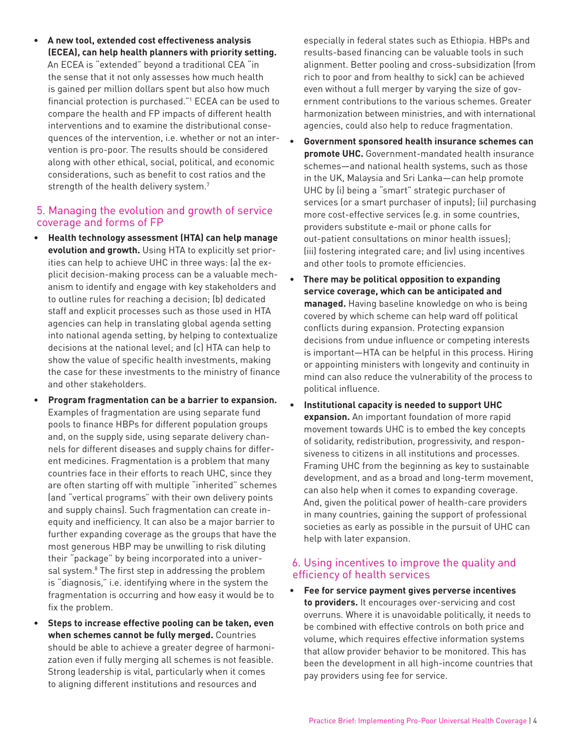• **A new tool, extended cost effectiveness analysis (ECEA), can help health planners with priority setting.** An ECEA is "extended" beyond a traditional CEA "in the sense that it not only assesses how much health is gained per million dollars spent but also how much financial protection is purchased."1 ECEA can be used to compare the health and FP impacts of different health interventions and to examine the distributional consequences of the intervention, i.e. whether or not an intervention is pro-poor. The results should be considered along with other ethical, social, political, and economic considerations, such as benefit to cost ratios and the strength of the health delivery system.<sup>7</sup>

#### 5. Managing the evolution and growth of service coverage and forms of FP

- **Health technology assessment (HTA) can help manage evolution and growth.** Using HTA to explicitly set priorities can help to achieve UHC in three ways: (a) the explicit decision-making process can be a valuable mechanism to identify and engage with key stakeholders and to outline rules for reaching a decision; (b) dedicated staff and explicit processes such as those used in HTA agencies can help in translating global agenda setting into national agenda setting, by helping to contextualize decisions at the national level; and (c) HTA can help to show the value of specific health investments, making the case for these investments to the ministry of finance and other stakeholders.
- **Program fragmentation can be a barrier to expansion.**  Examples of fragmentation are using separate fund pools to finance HBPs for different population groups and, on the supply side, using separate delivery channels for different diseases and supply chains for different medicines. Fragmentation is a problem that many countries face in their efforts to reach UHC, since they are often starting off with multiple "inherited" schemes (and "vertical programs" with their own delivery points and supply chains). Such fragmentation can create inequity and inefficiency. It can also be a major barrier to further expanding coverage as the groups that have the most generous HBP may be unwilling to risk diluting their "package" by being incorporated into a universal system.<sup>8</sup> The first step in addressing the problem is "diagnosis," i.e. identifying where in the system the fragmentation is occurring and how easy it would be to fix the problem.
- **Steps to increase effective pooling can be taken, even when schemes cannot be fully merged.** Countries should be able to achieve a greater degree of harmonization even if fully merging all schemes is not feasible. Strong leadership is vital, particularly when it comes to aligning different institutions and resources and

especially in federal states such as Ethiopia. HBPs and results-based financing can be valuable tools in such alignment. Better pooling and cross-subsidization (from rich to poor and from healthy to sick) can be achieved even without a full merger by varying the size of government contributions to the various schemes. Greater harmonization between ministries, and with international agencies, could also help to reduce fragmentation.

- **Government sponsored health insurance schemes can promote UHC.** Government-mandated health insurance schemes—and national health systems, such as those in the UK, Malaysia and Sri Lanka—can help promote UHC by (i) being a "smart" strategic purchaser of services (or a smart purchaser of inputs); (ii) purchasing more cost-effective services (e.g. in some countries, providers substitute e-mail or phone calls for out-patient consultations on minor health issues); (iii) fostering integrated care; and (iv) using incentives and other tools to promote efficiencies.
- **There may be political opposition to expanding service coverage, which can be anticipated and managed.** Having baseline knowledge on who is being covered by which scheme can help ward off political conflicts during expansion. Protecting expansion decisions from undue influence or competing interests is important—HTA can be helpful in this process. Hiring or appointing ministers with longevity and continuity in mind can also reduce the vulnerability of the process to political influence.
- **Institutional capacity is needed to support UHC expansion.** An important foundation of more rapid movement towards UHC is to embed the key concepts of solidarity, redistribution, progressivity, and responsiveness to citizens in all institutions and processes. Framing UHC from the beginning as key to sustainable development, and as a broad and long-term movement, can also help when it comes to expanding coverage. And, given the political power of health-care providers in many countries, gaining the support of professional societies as early as possible in the pursuit of UHC can help with later expansion.

## 6. Using incentives to improve the quality and efficiency of health services

• **Fee for service payment gives perverse incentives to providers.** It encourages over-servicing and cost overruns. Where it is unavoidable politically, it needs to be combined with effective controls on both price and volume, which requires effective information systems that allow provider behavior to be monitored. This has been the development in all high-income countries that pay providers using fee for service.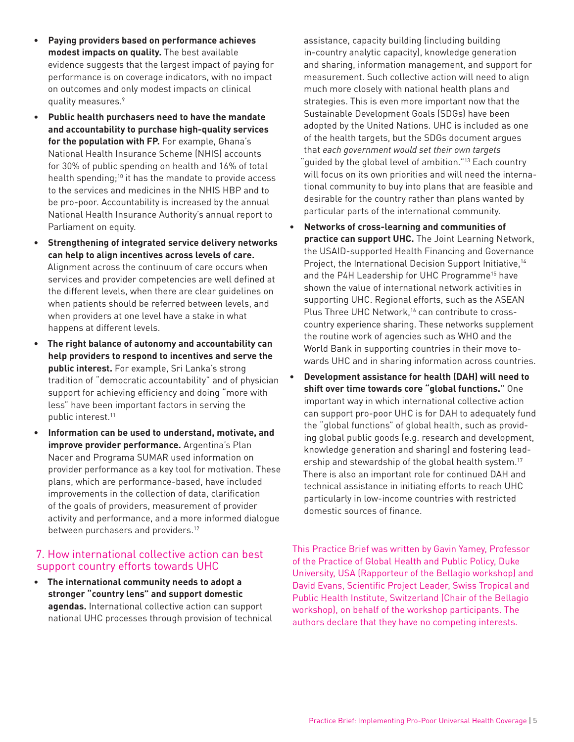- **Paying providers based on performance achieves modest impacts on quality.** The best available evidence suggests that the largest impact of paying for performance is on coverage indicators, with no impact on outcomes and only modest impacts on clinical quality measures.<sup>9</sup>
- **Public health purchasers need to have the mandate and accountability to purchase high-quality services for the population with FP.** For example, Ghana's National Health Insurance Scheme (NHIS) accounts for 30% of public spending on health and 16% of total health spending;<sup>10</sup> it has the mandate to provide access to the services and medicines in the NHIS HBP and to be pro-poor. Accountability is increased by the annual National Health Insurance Authority's annual report to Parliament on equity.
- **Strengthening of integrated service delivery networks can help to align incentives across levels of care.**  Alignment across the continuum of care occurs when services and provider competencies are well defined at the different levels, when there are clear guidelines on when patients should be referred between levels, and when providers at one level have a stake in what happens at different levels.
- **The right balance of autonomy and accountability can help providers to respond to incentives and serve the public interest.** For example, Sri Lanka's strong tradition of "democratic accountability" and of physician support for achieving efficiency and doing "more with less" have been important factors in serving the public interest.<sup>11</sup>
- **Information can be used to understand, motivate, and improve provider performance.** Argentina's Plan Nacer and Programa SUMAR used information on provider performance as a key tool for motivation. These plans, which are performance-based, have included improvements in the collection of data, clarification of the goals of providers, measurement of provider activity and performance, and a more informed dialogue between purchasers and providers.<sup>12</sup>

# 7. How international collective action can best support country efforts towards UHC

• **The international community needs to adopt a stronger "country lens" and support domestic agendas.** International collective action can support national UHC processes through provision of technical

assistance, capacity building (including building in-country analytic capacity), knowledge generation and sharing, information management, and support for measurement. Such collective action will need to align much more closely with national health plans and strategies. This is even more important now that the Sustainable Development Goals (SDGs) have been adopted by the United Nations. UHC is included as one of the health targets, but the SDGs document argues that *each government would set their own targets*  "guided by the global level of ambition."13 Each country will focus on its own priorities and will need the international community to buy into plans that are feasible and desirable for the country rather than plans wanted by particular parts of the international community.

- **Networks of cross-learning and communities of practice can support UHC.** The Joint Learning Network, the USAID-supported Health Financing and Governance Project, the International Decision Support Initiative,<sup>14</sup> and the P4H Leadership for UHC Programme<sup>15</sup> have shown the value of international network activities in supporting UHC. Regional efforts, such as the ASEAN Plus Three UHC Network,<sup>16</sup> can contribute to crosscountry experience sharing. These networks supplement the routine work of agencies such as WHO and the World Bank in supporting countries in their move towards UHC and in sharing information across countries.
- **Development assistance for health (DAH) will need to shift over time towards core "global functions."** One important way in which international collective action can support pro-poor UHC is for DAH to adequately fund the "global functions" of global health, such as providing global public goods (e.g. research and development, knowledge generation and sharing) and fostering leadership and stewardship of the global health system.<sup>17</sup> There is also an important role for continued DAH and technical assistance in initiating efforts to reach UHC particularly in low-income countries with restricted domestic sources of finance.

This Practice Brief was written by Gavin Yamey, Professor of the Practice of Global Health and Public Policy, Duke University, USA (Rapporteur of the Bellagio workshop) and David Evans, Scientific Project Leader, Swiss Tropical and Public Health Institute, Switzerland (Chair of the Bellagio workshop), on behalf of the workshop participants. The authors declare that they have no competing interests.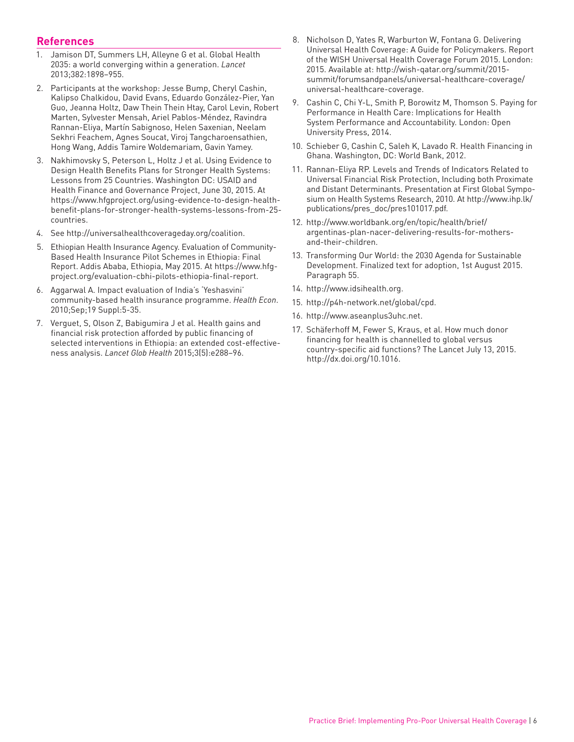#### **References**

- 1. Jamison DT, Summers LH, Alleyne G et al. Global Health 2035: a world converging within a generation. *Lancet*  2013;382:1898–955.
- 2. Participants at the workshop: Jesse Bump, Cheryl Cashin, Kalipso Chalkidou, David Evans, Eduardo González-Pier, Yan Guo, Jeanna Holtz, Daw Thein Thein Htay, Carol Levin, Robert Marten, Sylvester Mensah, Ariel Pablos-Méndez, Ravindra Rannan-Eliya, Martín Sabignoso, Helen Saxenian, Neelam Sekhri Feachem, Agnes Soucat, Viroj Tangcharoensathien, Hong Wang, Addis Tamire Woldemariam, Gavin Yamey.
- 3. Nakhimovsky S, Peterson L, Holtz J et al. Using Evidence to Design Health Benefits Plans for Stronger Health Systems: Lessons from 25 Countries. Washington DC: USAID and Health Finance and Governance Project, June 30, 2015. At https://www.hfgproject.org/using-evidence-to-design-healthbenefit-plans-for-stronger-health-systems-lessons-from-25 countries.
- 4. See http://universalhealthcoverageday.org/coalition.
- 5. Ethiopian Health Insurance Agency. Evaluation of Community-Based Health Insurance Pilot Schemes in Ethiopia: Final Report. Addis Ababa, Ethiopia, May 2015. At https://www.hfgproject.org/evaluation-cbhi-pilots-ethiopia-final-report.
- 6. Aggarwal A. Impact evaluation of India's 'Yeshasvini' community-based health insurance programme. *Health Econ*. 2010;Sep;19 Suppl:5-35.
- 7. Verguet, S, Olson Z, Babigumira J et al. Health gains and financial risk protection afforded by public financing of selected interventions in Ethiopia: an extended cost-effectiveness analysis. *Lancet Glob Health* 2015;3(5):e288–96.
- 8. Nicholson D, Yates R, Warburton W, Fontana G. Delivering Universal Health Coverage: A Guide for Policymakers. Report of the WISH Universal Health Coverage Forum 2015. London: 2015. Available at: http://wish-qatar.org/summit/2015 summit/forumsandpanels/universal-healthcare-coverage/ universal-healthcare-coverage.
- 9. Cashin C, Chi Y-L, Smith P, Borowitz M, Thomson S. Paying for Performance in Health Care: Implications for Health System Performance and Accountability. London: Open University Press, 2014.
- 10. Schieber G, Cashin C, Saleh K, Lavado R. Health Financing in Ghana. Washington, DC: World Bank, 2012.
- 11. Rannan-Eliya RP. Levels and Trends of Indicators Related to Universal Financial Risk Protection, Including both Proximate and Distant Determinants. Presentation at First Global Symposium on Health Systems Research, 2010. At http://www.ihp.lk/ publications/pres\_doc/pres101017.pdf.
- 12. http://www.worldbank.org/en/topic/health/brief/ argentinas-plan-nacer-delivering-results-for-mothersand-their-children.
- 13. Transforming Our World: the 2030 Agenda for Sustainable Development. Finalized text for adoption, 1st August 2015. Paragraph 55.
- 14. http://www.idsihealth.org.
- 15. http://p4h-network.net/global/cpd.
- 16. http://www.aseanplus3uhc.net.
- 17. Schäferhoff M, Fewer S, Kraus, et al. How much donor financing for health is channelled to global versus country-specific aid functions? The Lancet July 13, 2015. http://dx.doi.org/10.1016.